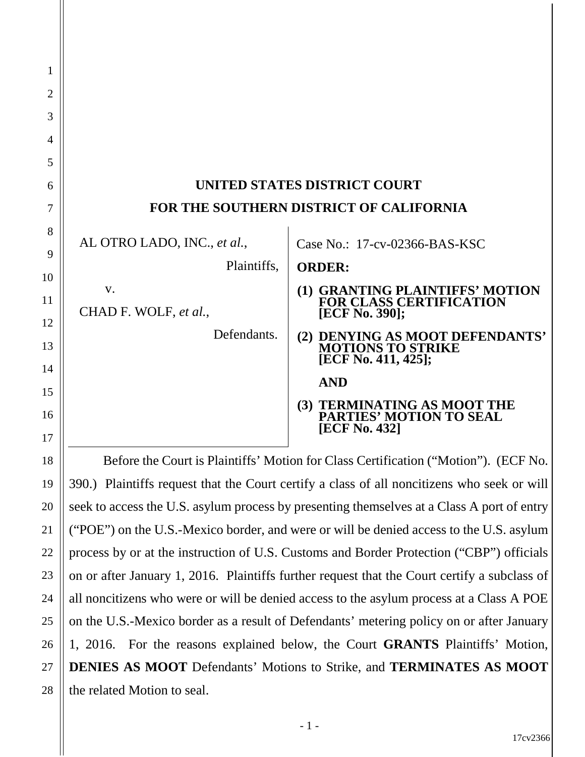| UNITED STATES DISTRICT COURT            |                                                                                     |  |  |  |
|-----------------------------------------|-------------------------------------------------------------------------------------|--|--|--|
| FOR THE SOUTHERN DISTRICT OF CALIFORNIA |                                                                                     |  |  |  |
| AL OTRO LADO, INC., et al.,             | Case No.: 17-cv-02366-BAS-KSC                                                       |  |  |  |
| Plaintiffs,                             | <b>ORDER:</b>                                                                       |  |  |  |
| V.<br>CHAD F. WOLF, et al.,             | (1) GRANTING PLAINTIFFS' MOTION<br><b>FOR CLASS CERTIFICATION</b><br>[ECF No. 390]; |  |  |  |
| Defendants.                             | (2) DENYING AS MOOT DEFENDANTS' MOTIONS TO STRIKE<br>[ECF No. 411, 425];            |  |  |  |
|                                         | <b>AND</b>                                                                          |  |  |  |
|                                         | (3) TERMINATING AS MOOT THE<br>PARTIES' MOTION TO SEAL<br>[ECF No. 432]             |  |  |  |

1

2

3

4

5

6

7

8

9

10

11

12

13

14

15

16

17

18

19

20

21

22

23

24

25

26

27

28

Before the Court is Plaintiffs' Motion for Class Certification ("Motion"). (ECF No. 390.) Plaintiffs request that the Court certify a class of all noncitizens who seek or will seek to access the U.S. asylum process by presenting themselves at a Class A port of entry ("POE") on the U.S.-Mexico border, and were or will be denied access to the U.S. asylum process by or at the instruction of U.S. Customs and Border Protection ("CBP") officials on or after January 1, 2016. Plaintiffs further request that the Court certify a subclass of all noncitizens who were or will be denied access to the asylum process at a Class A POE on the U.S.-Mexico border as a result of Defendants' metering policy on or after January 1, 2016. For the reasons explained below, the Court **GRANTS** Plaintiffs' Motion, **DENIES AS MOOT** Defendants' Motions to Strike, and **TERMINATES AS MOOT** the related Motion to seal.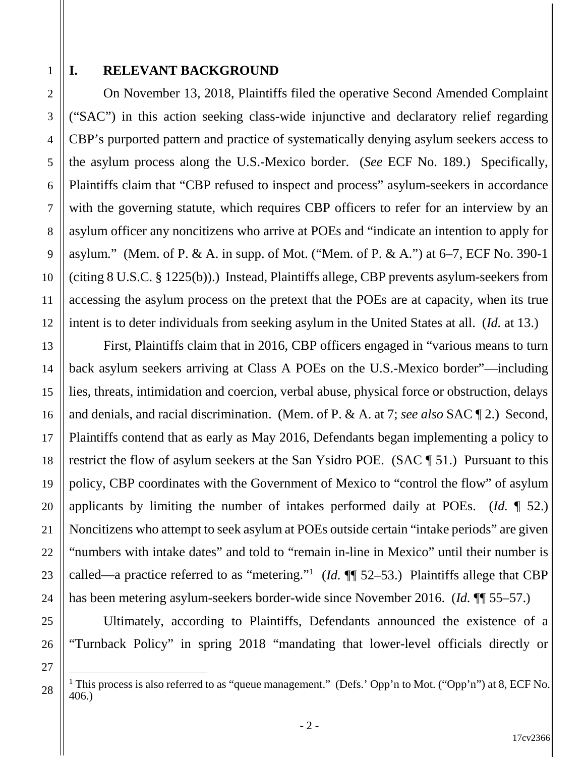### **I. RELEVANT BACKGROUND**

On November 13, 2018, Plaintiffs filed the operative Second Amended Complaint ("SAC") in this action seeking class-wide injunctive and declaratory relief regarding CBP's purported pattern and practice of systematically denying asylum seekers access to the asylum process along the U.S.-Mexico border. (*See* ECF No. 189.) Specifically, Plaintiffs claim that "CBP refused to inspect and process" asylum-seekers in accordance with the governing statute, which requires CBP officers to refer for an interview by an asylum officer any noncitizens who arrive at POEs and "indicate an intention to apply for asylum." (Mem. of P. & A. in supp. of Mot. ("Mem. of P. & A.") at 6–7, ECF No. 390-1 (citing 8 U.S.C. § 1225(b)).) Instead, Plaintiffs allege, CBP prevents asylum-seekers from accessing the asylum process on the pretext that the POEs are at capacity, when its true intent is to deter individuals from seeking asylum in the United States at all. (*Id.* at 13.)

First, Plaintiffs claim that in 2016, CBP officers engaged in "various means to turn back asylum seekers arriving at Class A POEs on the U.S.-Mexico border"—including lies, threats, intimidation and coercion, verbal abuse, physical force or obstruction, delays and denials, and racial discrimination. (Mem. of P. & A. at 7; *see also* SAC ¶ 2.) Second, Plaintiffs contend that as early as May 2016, Defendants began implementing a policy to restrict the flow of asylum seekers at the San Ysidro POE. (SAC ¶ 51.) Pursuant to this policy, CBP coordinates with the Government of Mexico to "control the flow" of asylum applicants by limiting the number of intakes performed daily at POEs. (*Id.* ¶ 52.) Noncitizens who attempt to seek asylum at POEs outside certain "intake periods" are given "numbers with intake dates" and told to "remain in-line in Mexico" until their number is called—a practice referred to as "metering."<sup>1</sup> (*Id.*  $\P$  52–53.) Plaintiffs allege that CBP has been metering asylum-seekers border-wide since November 2016. (*Id.* ¶¶ 55–57.)

Ultimately, according to Plaintiffs, Defendants announced the existence of a "Turnback Policy" in spring 2018 "mandating that lower-level officials directly or

- 2 -

<sup>&</sup>lt;sup>1</sup> This process is also referred to as "queue management." (Defs.' Opp'n to Mot. ("Opp'n") at 8, ECF No. 406.)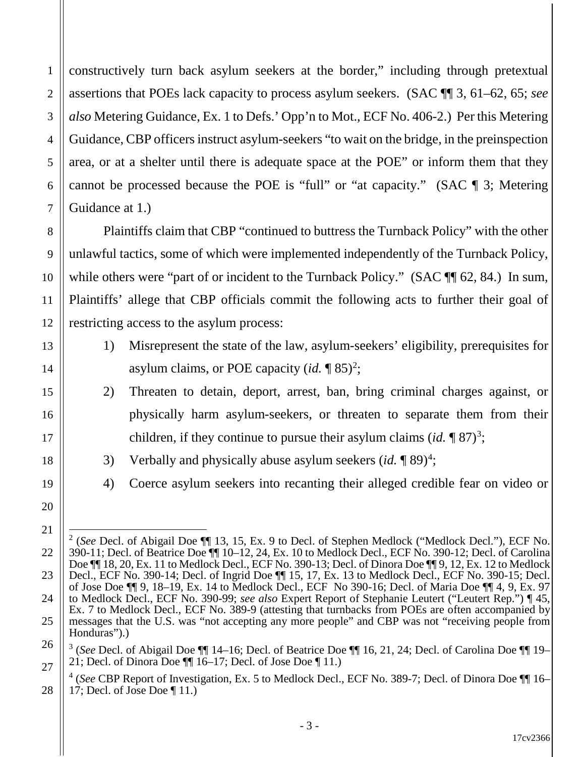constructively turn back asylum seekers at the border," including through pretextual assertions that POEs lack capacity to process asylum seekers. (SAC ¶¶ 3, 61–62, 65; *see also* Metering Guidance, Ex. 1 to Defs.' Opp'n to Mot., ECF No. 406-2.) Per this Metering Guidance, CBP officers instruct asylum-seekers "to wait on the bridge, in the preinspection area, or at a shelter until there is adequate space at the POE" or inform them that they cannot be processed because the POE is "full" or "at capacity." (SAC ¶ 3; Metering Guidance at 1.)

1

2

3

4

5

6

7

8

9

10

11

12

13

14

15

16

17

18

19

20

21

Plaintiffs claim that CBP "continued to buttress the Turnback Policy" with the other unlawful tactics, some of which were implemented independently of the Turnback Policy, while others were "part of or incident to the Turnback Policy." (SAC  $\P$  62, 84.) In sum, Plaintiffs' allege that CBP officials commit the following acts to further their goal of restricting access to the asylum process:

- 1) Misrepresent the state of the law, asylum-seekers' eligibility, prerequisites for asylum claims, or POE capacity (*id.* ¶ 85) 2 ;
- 2) Threaten to detain, deport, arrest, ban, bring criminal charges against, or physically harm asylum-seekers, or threaten to separate them from their children, if they continue to pursue their asylum claims  $(id, \P \ 87)^3;$
- 3) Verbally and physically abuse asylum seekers  $(id, \P \ 89)^4$ ;
- 4) Coerce asylum seekers into recanting their alleged credible fear on video or

<sup>22</sup> 23 24 25 2 (*See* Decl. of Abigail Doe ¶¶ 13, 15, Ex. 9 to Decl. of Stephen Medlock ("Medlock Decl."), ECF No. 390-11; Decl. of Beatrice Doe ¶¶ 10–12, 24, Ex. 10 to Medlock Decl., ECF No. 390-12; Decl. of Carolina Doe  $\P$  18, 20, Ex. 11 to Medlock Decl., ECF No. 390-13; Decl. of Dinora Doe  $\P$  9, 12, Ex. 12 to Medlock Decl., ECF No. 390-14; Decl. of Ingrid Doe ¶¶ 15, 17, Ex. 13 to Medlock Decl., ECF No. 390-15; Decl. of Jose Doe ¶¶ 9, 18–19, Ex. 14 to Medlock Decl., ECF No 390-16; Decl. of Maria Doe ¶¶ 4, 9, Ex. 97 to Medlock Decl., ECF No. 390-99; *see also* Expert Report of Stephanie Leutert ("Leutert Rep.") ¶ 45, Ex. 7 to Medlock Decl., ECF No. 389-9 (attesting that turnbacks from POEs are often accompanied by messages that the U.S. was "not accepting any more people" and CBP was not "receiving people from Honduras").

<sup>26</sup> 27 <sup>3</sup> (*See* Decl. of Abigail Doe ¶¶ 14–16; Decl. of Beatrice Doe ¶¶ 16, 21, 24; Decl. of Carolina Doe ¶¶ 19– 21; Decl. of Dinora Doe  $\P\P$  16–17; Decl. of Jose Doe  $\P$  11.)

<sup>28</sup> <sup>4</sup> (*See* CBP Report of Investigation, Ex. 5 to Medlock Decl., ECF No. 389-7; Decl. of Dinora Doe ¶¶ 16– 17; Decl. of Jose Doe ¶ 11.)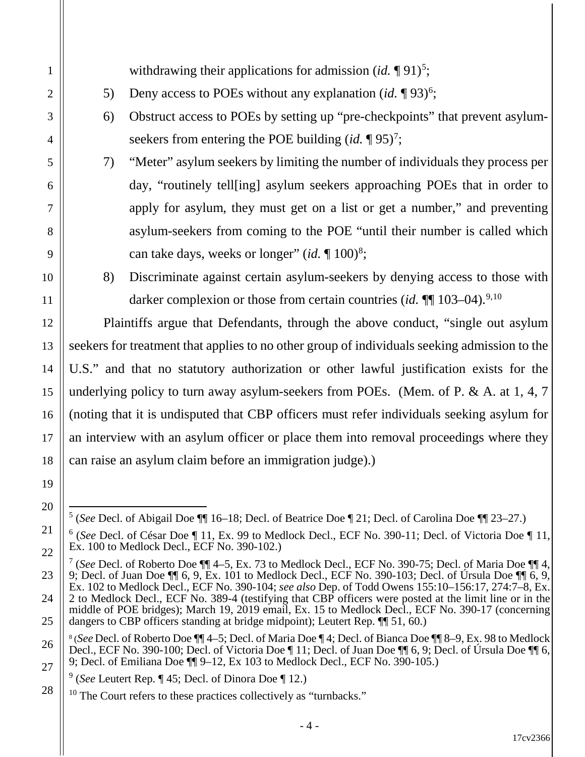withdrawing their applications for admission (*id*. 191)<sup>5</sup>;

- 5) Deny access to POEs without any explanation  $(id, \P 93)^6$ ;
- 6) Obstruct access to POEs by setting up "pre-checkpoints" that prevent asylumseekers from entering the POE building  $(id, \P 95)^7$ ;
- 7) "Meter" asylum seekers by limiting the number of individuals they process per day, "routinely tell[ing] asylum seekers approaching POEs that in order to apply for asylum, they must get on a list or get a number," and preventing asylum-seekers from coming to the POE "until their number is called which can take days, weeks or longer"  $(id, \P, 100)^8$ ;
- 8) Discriminate against certain asylum-seekers by denying access to those with darker complexion or those from certain countries (*id.*  $\P\P$  103–04).<sup>9,10</sup>

Plaintiffs argue that Defendants, through the above conduct, "single out asylum seekers for treatment that applies to no other group of individuals seeking admission to the U.S." and that no statutory authorization or other lawful justification exists for the underlying policy to turn away asylum-seekers from POEs. (Mem. of P. & A. at 1, 4, 7 (noting that it is undisputed that CBP officers must refer individuals seeking asylum for an interview with an asylum officer or place them into removal proceedings where they can raise an asylum claim before an immigration judge).)

 <sup>5</sup> (*See* Decl. of Abigail Doe ¶¶ 16–18; Decl. of Beatrice Doe ¶ 21; Decl. of Carolina Doe ¶¶ 23–27.)

<sup>6</sup> (*See* Decl. of César Doe ¶ 11, Ex. 99 to Medlock Decl., ECF No. 390-11; Decl. of Victoria Doe ¶ 11, Ex. 100 to Medlock Decl., ECF No. 390-102.)

<sup>7</sup> (*See* Decl. of Roberto Doe ¶¶ 4–5, Ex. 73 to Medlock Decl., ECF No. 390-75; Decl. of Maria Doe ¶¶ 4, 9; Decl. of Juan Doe  $\P\P$  6, 9, Ex. 101 to Medlock Decl., ECF No. 390-103; Decl. of Úrsula Doe  $\P\P$  6, 9, Ex. 102 to Medlock Decl., ECF No. 390-104; *see also* Dep. of Todd Owens 155:10–156:17, 274:7–8, Ex. 2 to Medlock Decl., ECF No. 389-4 (testifying that CBP officers were posted at the limit line or in the middle of POE bridges); March 19, 2019 email, Ex. 15 to Medlock Decl., ECF No. 390-17 (concerning dangers to CBP officers standing at bridge midpoint); Leutert Rep. ¶¶ 51, 60.)

<sup>8</sup> (*See* Decl. of Roberto Doe ¶¶ 4–5; Decl. of Maria Doe ¶ 4; Decl. of Bianca Doe ¶¶ 8–9, Ex. 98 to Medlock Decl., ECF No. 390-100; Decl. of Victoria Doe  $\P$  11; Decl. of Juan Doe  $\P$  6, 9; Decl. of Úrsula Doe  $\P$  6, 9; Decl. of Emiliana Doe ¶¶ 9–12, Ex 103 to Medlock Decl., ECF No. 390-105.)

<sup>9</sup> (*See* Leutert Rep. ¶ 45; Decl. of Dinora Doe ¶ 12.)

 $10$  The Court refers to these practices collectively as "turnbacks."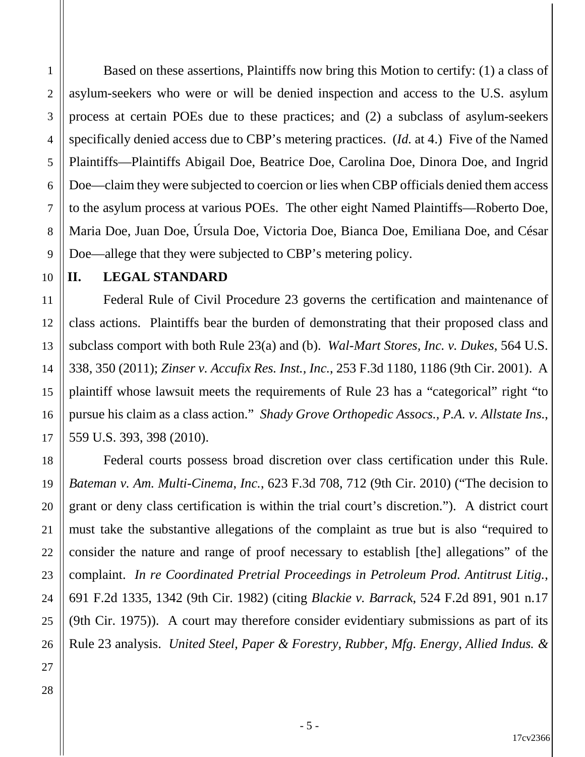Based on these assertions, Plaintiffs now bring this Motion to certify: (1) a class of asylum-seekers who were or will be denied inspection and access to the U.S. asylum process at certain POEs due to these practices; and (2) a subclass of asylum-seekers specifically denied access due to CBP's metering practices. (*Id.* at 4.) Five of the Named Plaintiffs—Plaintiffs Abigail Doe, Beatrice Doe, Carolina Doe, Dinora Doe, and Ingrid Doe—claim they were subjected to coercion or lies when CBP officials denied them access to the asylum process at various POEs. The other eight Named Plaintiffs—Roberto Doe, Maria Doe, Juan Doe, Úrsula Doe, Victoria Doe, Bianca Doe, Emiliana Doe, and César Doe—allege that they were subjected to CBP's metering policy.

10

1

2

3

4

5

6

7

8

9

11

12

13

14

15

16

17

18

19

20

21

22

23

#### **II. LEGAL STANDARD**

Federal Rule of Civil Procedure 23 governs the certification and maintenance of class actions. Plaintiffs bear the burden of demonstrating that their proposed class and subclass comport with both Rule 23(a) and (b). *Wal-Mart Stores, Inc. v. Dukes*, 564 U.S. 338, 350 (2011); *Zinser v. Accufix Res. Inst., Inc.*, 253 F.3d 1180, 1186 (9th Cir. 2001). A plaintiff whose lawsuit meets the requirements of Rule 23 has a "categorical" right "to pursue his claim as a class action." *Shady Grove Orthopedic Assocs., P.A. v. Allstate Ins.*, 559 U.S. 393, 398 (2010).

Federal courts possess broad discretion over class certification under this Rule. *Bateman v. Am. Multi-Cinema*, *Inc.*, 623 F.3d 708, 712 (9th Cir. 2010) ("The decision to grant or deny class certification is within the trial court's discretion."). A district court must take the substantive allegations of the complaint as true but is also "required to consider the nature and range of proof necessary to establish [the] allegations" of the complaint. *In re Coordinated Pretrial Proceedings in Petroleum Prod. Antitrust Litig.*, 691 F.2d 1335, 1342 (9th Cir. 1982) (citing *Blackie v. Barrack*, 524 F.2d 891, 901 n.17 (9th Cir. 1975)). A court may therefore consider evidentiary submissions as part of its Rule 23 analysis. *United Steel, Paper & Forestry, Rubber, Mfg. Energy, Allied Indus. &*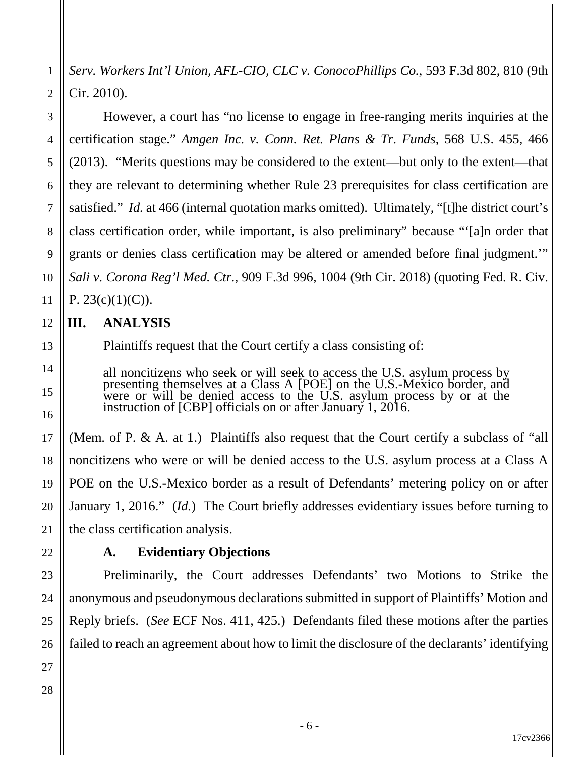*Serv. Workers Int'l Union, AFL-CIO, CLC v. ConocoPhillips Co.*, 593 F.3d 802, 810 (9th Cir. 2010).

However, a court has "no license to engage in free-ranging merits inquiries at the certification stage." *Amgen Inc. v. Conn. Ret. Plans & Tr. Funds*, 568 U.S. 455, 466 (2013). "Merits questions may be considered to the extent—but only to the extent—that they are relevant to determining whether Rule 23 prerequisites for class certification are satisfied." *Id.* at 466 (internal quotation marks omitted). Ultimately, "[t]he district court's class certification order, while important, is also preliminary" because "'[a]n order that grants or denies class certification may be altered or amended before final judgment.'" *Sali v. Corona Reg'l Med. Ctr.*, 909 F.3d 996, 1004 (9th Cir. 2018) (quoting Fed. R. Civ. P.  $23(c)(1)(C)$ .

### **III. ANALYSIS**

Plaintiffs request that the Court certify a class consisting of:

all noncitizens who seek or will seek to access the U.S. asylum process by presenting themselves at a Class A [POE] on the U.S.-Mexico border, and were or will be denied access to the U.S. asylum process by or at the instruction of [CBP] officials on or after January 1, 2016.

(Mem. of P. & A. at 1.) Plaintiffs also request that the Court certify a subclass of "all noncitizens who were or will be denied access to the U.S. asylum process at a Class A POE on the U.S.-Mexico border as a result of Defendants' metering policy on or after January 1, 2016." (*Id.*) The Court briefly addresses evidentiary issues before turning to the class certification analysis.

## **A. Evidentiary Objections**

Preliminarily, the Court addresses Defendants' two Motions to Strike the anonymous and pseudonymous declarations submitted in support of Plaintiffs' Motion and Reply briefs. (*See* ECF Nos. 411, 425.) Defendants filed these motions after the parties failed to reach an agreement about how to limit the disclosure of the declarants' identifying

1

2

3

4

5

6

7

8

9

10

11

12

13

14

15

16

17

18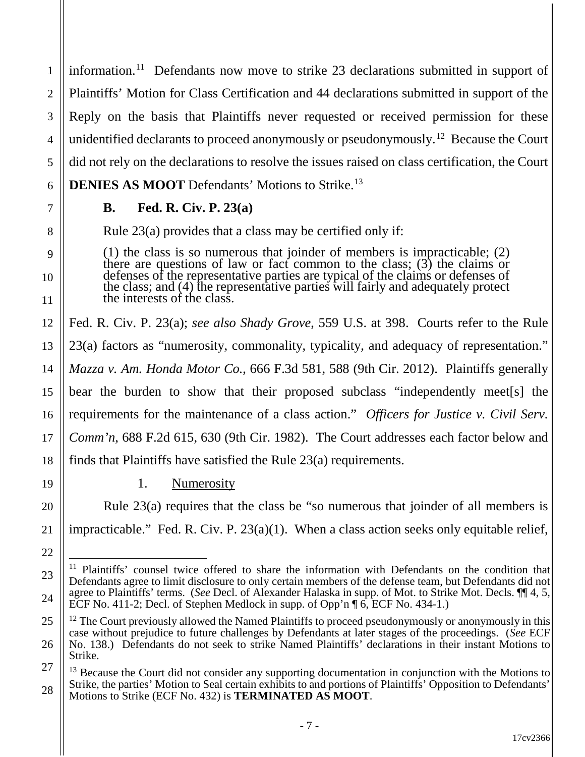1 2 3 4 5 6 information.<sup>11</sup> Defendants now move to strike 23 declarations submitted in support of Plaintiffs' Motion for Class Certification and 44 declarations submitted in support of the Reply on the basis that Plaintiffs never requested or received permission for these unidentified declarants to proceed anonymously or pseudonymously.<sup>12</sup> Because the Court did not rely on the declarations to resolve the issues raised on class certification, the Court **DENIES AS MOOT** Defendants' Motions to Strike.<sup>13</sup>

## **B. Fed. R. Civ. P. 23(a)**

7

8

9

10

11

19

20

21

22

23

24

Rule 23(a) provides that a class may be certified only if:

(1) the class is so numerous that joinder of members is impracticable; (2) there are questions of law or fact common to the class;  $(3)$  the claims or defenses of the representative parties are typical of the claims or defenses of the class; and (4) the representative parties will fairly and adequately protect the interests of the class.

12 13 14 15 16 17 18 Fed. R. Civ. P. 23(a); *see also Shady Grove*, 559 U.S. at 398. Courts refer to the Rule 23(a) factors as "numerosity, commonality, typicality, and adequacy of representation." *Mazza v. Am. Honda Motor Co.*, 666 F.3d 581, 588 (9th Cir. 2012). Plaintiffs generally bear the burden to show that their proposed subclass "independently meet[s] the requirements for the maintenance of a class action." *Officers for Justice v. Civil Serv. Comm'n*, 688 F.2d 615, 630 (9th Cir. 1982). The Court addresses each factor below and finds that Plaintiffs have satisfied the Rule 23(a) requirements.

1. Numerosity

Rule 23(a) requires that the class be "so numerous that joinder of all members is impracticable." Fed. R. Civ. P. 23(a)(1). When a class action seeks only equitable relief,

<sup>&</sup>lt;sup>11</sup> Plaintiffs' counsel twice offered to share the information with Defendants on the condition that Defendants agree to limit disclosure to only certain members of the defense team, but Defendants did not agree to Plaintiffs' terms. (*See* Decl. of Alexander Halaska in supp. of Mot. to Strike Mot. Decls. ¶¶ 4, 5, ECF No. 411-2; Decl. of Stephen Medlock in supp. of Opp'n ¶ 6, ECF No. 434-1.)

<sup>25</sup> 26  $12$  The Court previously allowed the Named Plaintiffs to proceed pseudonymously or anonymously in this case without prejudice to future challenges by Defendants at later stages of the proceedings. (*See* ECF No. 138.) Defendants do not seek to strike Named Plaintiffs' declarations in their instant Motions to Strike.

<sup>27</sup> 28  $13$  Because the Court did not consider any supporting documentation in conjunction with the Motions to Strike, the parties' Motion to Seal certain exhibits to and portions of Plaintiffs' Opposition to Defendants' Motions to Strike (ECF No. 432) is **TERMINATED AS MOOT**.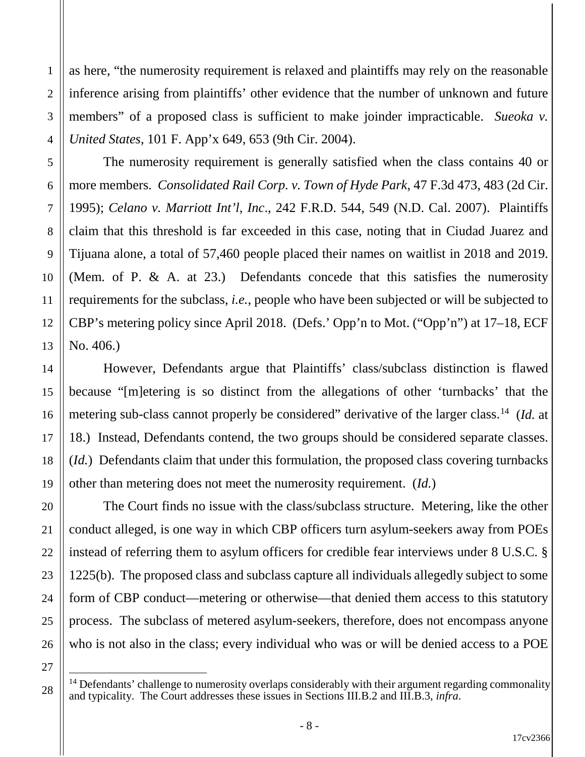as here, "the numerosity requirement is relaxed and plaintiffs may rely on the reasonable inference arising from plaintiffs' other evidence that the number of unknown and future members" of a proposed class is sufficient to make joinder impracticable. *Sueoka v. United States*, 101 F. App'x 649, 653 (9th Cir. 2004).

The numerosity requirement is generally satisfied when the class contains 40 or more members. *Consolidated Rail Corp. v. Town of Hyde Park*, 47 F.3d 473, 483 (2d Cir. 1995); *Celano v. Marriott Int'l, Inc*., 242 F.R.D. 544, 549 (N.D. Cal. 2007). Plaintiffs claim that this threshold is far exceeded in this case, noting that in Ciudad Juarez and Tijuana alone, a total of 57,460 people placed their names on waitlist in 2018 and 2019. (Mem. of P. & A. at 23.) Defendants concede that this satisfies the numerosity requirements for the subclass, *i.e.*, people who have been subjected or will be subjected to CBP's metering policy since April 2018. (Defs.' Opp'n to Mot. ("Opp'n") at 17–18, ECF No. 406.)

However, Defendants argue that Plaintiffs' class/subclass distinction is flawed because "[m]etering is so distinct from the allegations of other 'turnbacks' that the metering sub-class cannot properly be considered" derivative of the larger class.14 (*Id.* at 18.) Instead, Defendants contend, the two groups should be considered separate classes. (*Id.*) Defendants claim that under this formulation, the proposed class covering turnbacks other than metering does not meet the numerosity requirement. (*Id.*)

The Court finds no issue with the class/subclass structure. Metering, like the other conduct alleged, is one way in which CBP officers turn asylum-seekers away from POEs instead of referring them to asylum officers for credible fear interviews under 8 U.S.C. § 1225(b). The proposed class and subclass capture all individuals allegedly subject to some form of CBP conduct—metering or otherwise—that denied them access to this statutory process. The subclass of metered asylum-seekers, therefore, does not encompass anyone who is not also in the class; every individual who was or will be denied access to a POE

 $14$  Defendants' challenge to numerosity overlaps considerably with their argument regarding commonality and typicality. The Court addresses these issues in Sections III.B.2 and III.B.3, *infra*.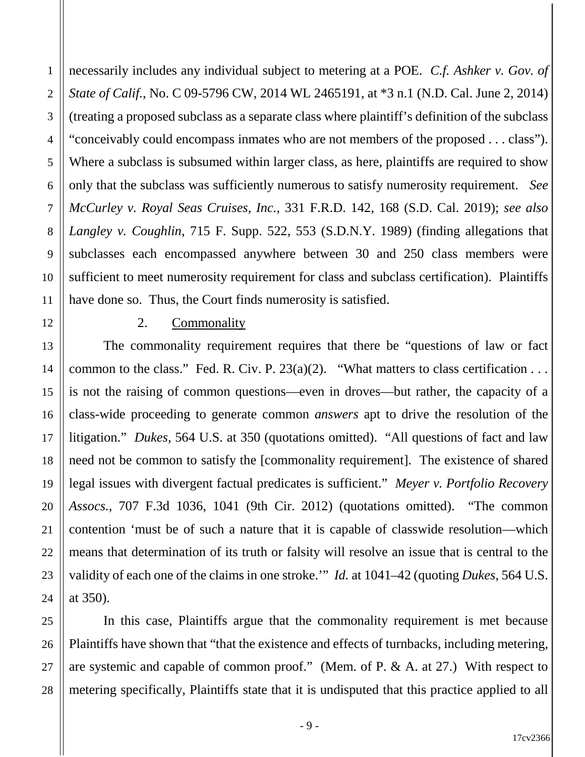necessarily includes any individual subject to metering at a POE. *C.f. Ashker v. Gov. of State of Calif.*, No. C 09-5796 CW, 2014 WL 2465191, at \*3 n.1 (N.D. Cal. June 2, 2014) (treating a proposed subclass as a separate class where plaintiff's definition of the subclass "conceivably could encompass inmates who are not members of the proposed . . . class"). Where a subclass is subsumed within larger class, as here, plaintiffs are required to show only that the subclass was sufficiently numerous to satisfy numerosity requirement. *See McCurley v. Royal Seas Cruises, Inc.*, 331 F.R.D. 142, 168 (S.D. Cal. 2019); *see also Langley v. Coughlin*, 715 F. Supp. 522, 553 (S.D.N.Y. 1989) (finding allegations that subclasses each encompassed anywhere between 30 and 250 class members were sufficient to meet numerosity requirement for class and subclass certification). Plaintiffs have done so. Thus, the Court finds numerosity is satisfied.

#### 2. Commonality

1

2

3

4

5

6

7

8

9

10

11

12

13

14

15

16

17

18

19

20

21

22

23

24

The commonality requirement requires that there be "questions of law or fact common to the class." Fed. R. Civ. P.  $23(a)(2)$ . "What matters to class certification . . . is not the raising of common questions—even in droves—but rather, the capacity of a class-wide proceeding to generate common *answers* apt to drive the resolution of the litigation." *Dukes*, 564 U.S. at 350 (quotations omitted). "All questions of fact and law need not be common to satisfy the [commonality requirement]. The existence of shared legal issues with divergent factual predicates is sufficient." *Meyer v. Portfolio Recovery Assocs.*, 707 F.3d 1036, 1041 (9th Cir. 2012) (quotations omitted). "The common contention 'must be of such a nature that it is capable of classwide resolution—which means that determination of its truth or falsity will resolve an issue that is central to the validity of each one of the claims in one stroke.'" *Id.* at 1041–42 (quoting *Dukes*, 564 U.S. at 350).

25 26 27 28 In this case, Plaintiffs argue that the commonality requirement is met because Plaintiffs have shown that "that the existence and effects of turnbacks, including metering, are systemic and capable of common proof." (Mem. of P. & A. at 27.) With respect to metering specifically, Plaintiffs state that it is undisputed that this practice applied to all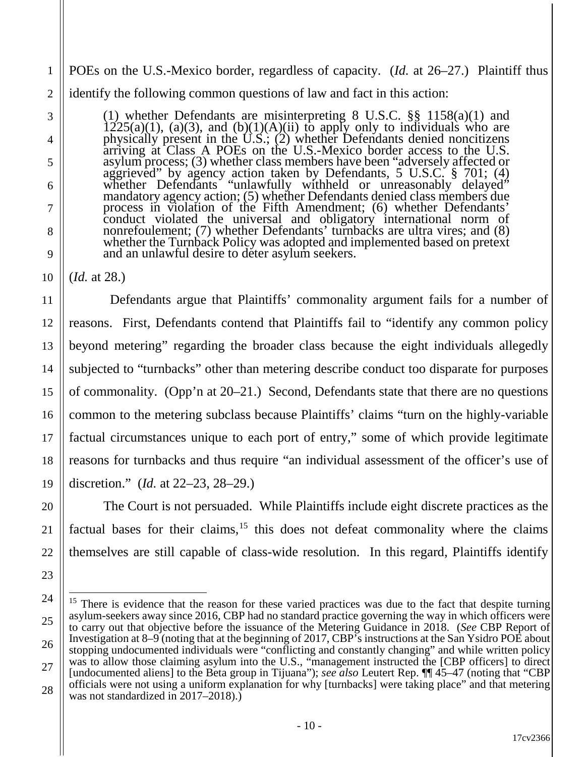1 2 POEs on the U.S.-Mexico border, regardless of capacity. (*Id.* at 26–27.) Plaintiff thus identify the following common questions of law and fact in this action:

(1) whether Defendants are misinterpreting 8 U.S.C. §§ 1158(a)(1) and  $1225(a)(1)$ , (a)(3), and (b)(1)(A)(ii) to apply only to individuals who are physically present in the  $U.S.$ ; (2) whether Defendants denied noncitizens arriving at Class A POEs on the U.S.-Mexico border access to the U.S. asylum process; (3) whether class members have been "adversely affected or aggrieved" by agency action taken by Defendants, 5 U.S.C. § 701; (4) whether Defendants "unlawfully withheld or unreasonably delayed" mandatory agency action; (5) whether Defendants denied class members due process in violation of the Fifth Amendment; (6) whether Defendants' conduct violated the universal and obligatory international norm of nonrefoulement; (7) whether Defendants' turnbacks are ultra vires; and (8) whether the Turnback Policy was adopted and implemented based on pretext and an unlawful desire to deter asylum seekers.

(*Id.* at 28.)

3

4

5

6

7

8

9

10

11

12

13

14

15

16

17

18

19

20

21

22

23

 Defendants argue that Plaintiffs' commonality argument fails for a number of reasons. First, Defendants contend that Plaintiffs fail to "identify any common policy beyond metering" regarding the broader class because the eight individuals allegedly subjected to "turnbacks" other than metering describe conduct too disparate for purposes of commonality. (Opp'n at 20–21.) Second, Defendants state that there are no questions common to the metering subclass because Plaintiffs' claims "turn on the highly-variable factual circumstances unique to each port of entry," some of which provide legitimate reasons for turnbacks and thus require "an individual assessment of the officer's use of discretion." (*Id.* at 22–23, 28–29.)

The Court is not persuaded. While Plaintiffs include eight discrete practices as the factual bases for their claims,  $15$  this does not defeat commonality where the claims themselves are still capable of class-wide resolution. In this regard, Plaintiffs identify

<sup>24</sup> 25 26 27 28 <sup>15</sup> There is evidence that the reason for these varied practices was due to the fact that despite turning asylum-seekers away since 2016, CBP had no standard practice governing the way in which officers were to carry out that objective before the issuance of the Metering Guidance in 2018. (*See* CBP Report of Investigation at 8–9 (noting that at the beginning of 2017, CBP's instructions at the San Ysidro POE about stopping undocumented individuals were "conflicting and constantly changing" and while written policy was to allow those claiming asylum into the U.S., "management instructed the [CBP officers] to direct [undocumented aliens] to the Beta group in Tijuana"); *see also* Leutert Rep. ¶¶ 45–47 (noting that "CBP officials were not using a uniform explanation for why [turnbacks] were taking place" and that metering was not standardized in 2017–2018).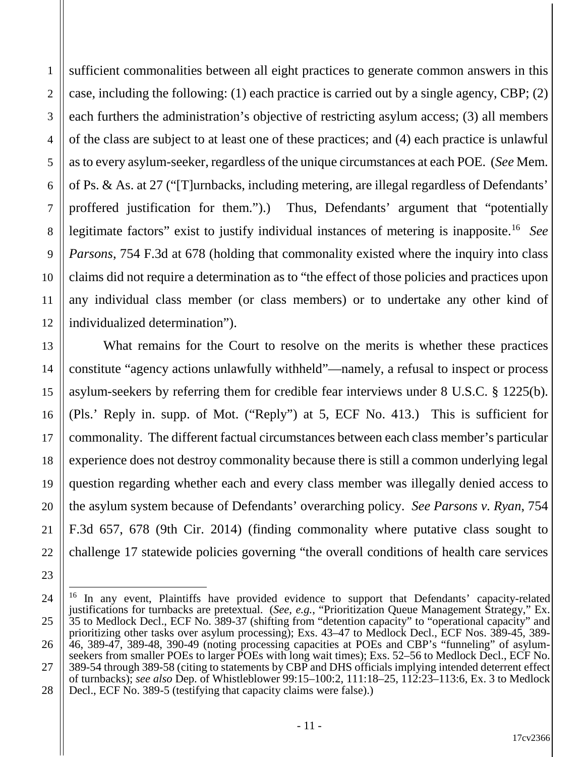1

2

sufficient commonalities between all eight practices to generate common answers in this case, including the following: (1) each practice is carried out by a single agency, CBP; (2) each furthers the administration's objective of restricting asylum access; (3) all members of the class are subject to at least one of these practices; and (4) each practice is unlawful as to every asylum-seeker, regardless of the unique circumstances at each POE. (*See* Mem. of Ps. & As. at 27 ("[T]urnbacks, including metering, are illegal regardless of Defendants' proffered justification for them.").) Thus, Defendants' argument that "potentially legitimate factors" exist to justify individual instances of metering is inapposite. 16 *See Parsons*, 754 F.3d at 678 (holding that commonality existed where the inquiry into class claims did not require a determination as to "the effect of those policies and practices upon any individual class member (or class members) or to undertake any other kind of individualized determination").

What remains for the Court to resolve on the merits is whether these practices constitute "agency actions unlawfully withheld"—namely, a refusal to inspect or process asylum-seekers by referring them for credible fear interviews under 8 U.S.C. § 1225(b). (Pls.' Reply in. supp. of Mot. ("Reply") at 5, ECF No. 413.) This is sufficient for commonality. The different factual circumstances between each class member's particular experience does not destroy commonality because there is still a common underlying legal question regarding whether each and every class member was illegally denied access to the asylum system because of Defendants' overarching policy. *See Parsons v. Ryan*, 754 F.3d 657, 678 (9th Cir. 2014) (finding commonality where putative class sought to challenge 17 statewide policies governing "the overall conditions of health care services

<sup>&</sup>lt;sup>16</sup> In any event, Plaintiffs have provided evidence to support that Defendants' capacity-related justifications for turnbacks are pretextual. (*See, e.g.*, "Prioritization Queue Management Strategy," Ex. 35 to Medlock Decl., ECF No. 389-37 (shifting from "detention capacity" to "operational capacity" and prioritizing other tasks over asylum processing); Exs. 43–47 to Medlock Decl., ECF Nos. 389-45, 389- 46, 389-47, 389-48, 390-49 (noting processing capacities at POEs and CBP's "funneling" of asylumseekers from smaller POEs to larger POEs with long wait times); Exs. 52–56 to Medlock Decl., ECF No. 389-54 through 389-58 (citing to statements by CBP and DHS officials implying intended deterrent effect of turnbacks); *see also* Dep. of Whistleblower 99:15–100:2, 111:18–25, 112:23–113:6, Ex. 3 to Medlock Decl., ECF No. 389-5 (testifying that capacity claims were false).)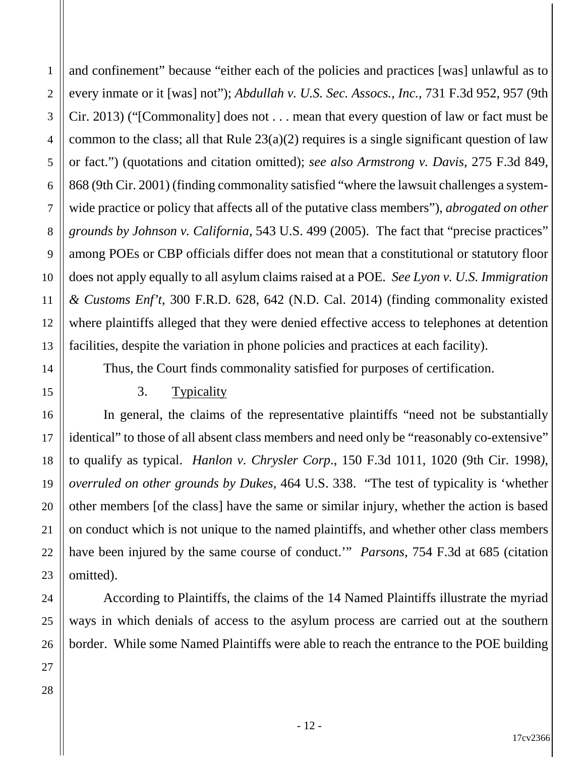and confinement" because "either each of the policies and practices [was] unlawful as to every inmate or it [was] not"); *Abdullah v. U.S. Sec. Assocs., Inc.*, 731 F.3d 952, 957 (9th Cir. 2013) ("[Commonality] does not . . . mean that every question of law or fact must be common to the class; all that Rule  $23(a)(2)$  requires is a single significant question of law or fact.") (quotations and citation omitted); *see also Armstrong v. Davis*, 275 F.3d 849, 868 (9th Cir. 2001) (finding commonality satisfied "where the lawsuit challenges a systemwide practice or policy that affects all of the putative class members"), *abrogated on other grounds by Johnson v. California*, 543 U.S. 499 (2005). The fact that "precise practices" among POEs or CBP officials differ does not mean that a constitutional or statutory floor does not apply equally to all asylum claims raised at a POE. *See Lyon v. U.S. Immigration & Customs Enf't*, 300 F.R.D. 628, 642 (N.D. Cal. 2014) (finding commonality existed where plaintiffs alleged that they were denied effective access to telephones at detention facilities, despite the variation in phone policies and practices at each facility).

Thus, the Court finds commonality satisfied for purposes of certification.

#### 3. Typicality

In general, the claims of the representative plaintiffs "need not be substantially identical" to those of all absent class members and need only be "reasonably co-extensive" to qualify as typical. *Hanlon v. Chrysler Corp*., 150 F.3d 1011, 1020 (9th Cir. 1998*)*, *overruled on other grounds by Dukes*, 464 U.S. 338. "The test of typicality is 'whether other members [of the class] have the same or similar injury, whether the action is based on conduct which is not unique to the named plaintiffs, and whether other class members have been injured by the same course of conduct.'" *Parsons*, 754 F.3d at 685 (citation omitted).

According to Plaintiffs, the claims of the 14 Named Plaintiffs illustrate the myriad ways in which denials of access to the asylum process are carried out at the southern border. While some Named Plaintiffs were able to reach the entrance to the POE building

1

2

3

4

5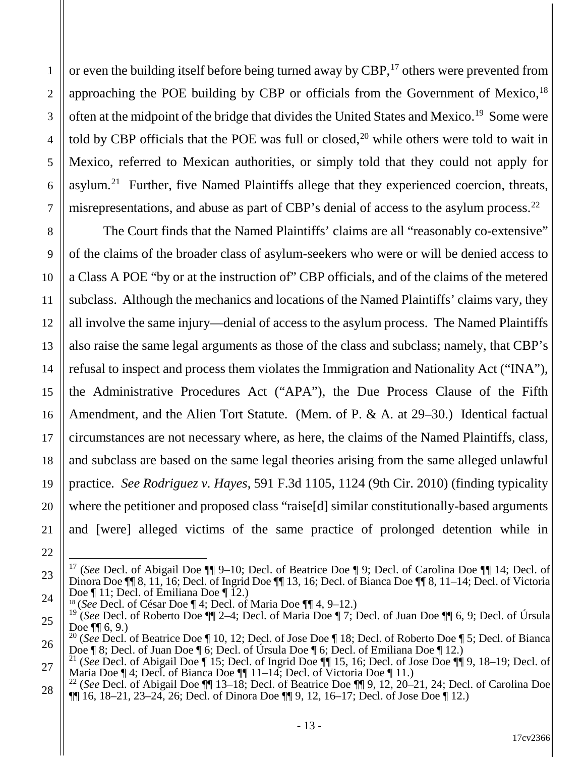or even the building itself before being turned away by CBP,<sup>17</sup> others were prevented from approaching the POE building by CBP or officials from the Government of Mexico,<sup>18</sup> often at the midpoint of the bridge that divides the United States and Mexico.19 Some were told by CBP officials that the POE was full or closed, $20$  while others were told to wait in Mexico, referred to Mexican authorities, or simply told that they could not apply for asylum.<sup>21</sup> Further, five Named Plaintiffs allege that they experienced coercion, threats, misrepresentations, and abuse as part of CBP's denial of access to the asylum process.<sup>22</sup>

The Court finds that the Named Plaintiffs' claims are all "reasonably co-extensive" of the claims of the broader class of asylum-seekers who were or will be denied access to a Class A POE "by or at the instruction of" CBP officials, and of the claims of the metered subclass. Although the mechanics and locations of the Named Plaintiffs' claims vary, they all involve the same injury—denial of access to the asylum process. The Named Plaintiffs also raise the same legal arguments as those of the class and subclass; namely, that CBP's refusal to inspect and process them violates the Immigration and Nationality Act ("INA"), the Administrative Procedures Act ("APA"), the Due Process Clause of the Fifth Amendment, and the Alien Tort Statute. (Mem. of P. & A*.* at 29–30.) Identical factual circumstances are not necessary where, as here, the claims of the Named Plaintiffs, class, and subclass are based on the same legal theories arising from the same alleged unlawful practice*. See Rodriguez v. Hayes*, 591 F.3d 1105, 1124 (9th Cir. 2010) (finding typicality where the petitioner and proposed class "raise<sup>[d]</sup> similar constitutionally-based arguments and [were] alleged victims of the same practice of prolonged detention while in

 17 (*See* Decl. of Abigail Doe ¶¶ 9–10; Decl. of Beatrice Doe ¶ 9; Decl. of Carolina Doe ¶¶ 14; Decl. of Dinora Doe ¶¶ 8, 11, 16; Decl. of Ingrid Doe ¶¶ 13, 16; Decl. of Bianca Doe ¶¶ 8, 11–14; Decl. of Victoria

Doe  $\P$  11; Decl. of Emiliana Doe  $\P$  12.)<br><sup>18</sup> (*See* Decl. of César Doe  $\P$  4; Decl. of Maria Doe  $\P$  14, 9–12.)

<sup>&</sup>lt;sup>19</sup> (*See* Decl. of Roberto Doe ¶ 2–4; Decl. of Maria Doe ¶ 7; Decl. of Juan Doe ¶ 6, 9; Decl. of Úrsula Doe ¶ 6, 9.) <sup>20</sup> (*See* Decl. of Beatrice Doe ¶ 10, 12; Decl. of Jose Doe ¶ 18; Decl. of Roberto Doe ¶ 5; Decl. of Bianca Doe ¶ 8; Decl. of Juan Doe ¶ 6; Decl. of Úrsula Doe ¶ 6; Decl. of Emiliana Doe ¶ 12.)

 $\frac{200}{1}$  (*See* Decl. of Abigail Doe ¶ 15; Decl. of Ingrid Doe ¶| 15, 16; Decl. of Jose Doe ¶| 9, 18–19; Decl. of Maria Doe ¶ 4; Decl. of Bianca Doe ¶¶ 11–14; Decl. of Victoria Doe ¶ 11.)<br><sup>22</sup> (*See* Decl. of Abigail Doe ¶¶ 13–18; Decl. of Beatrice Doe ¶¶ 9, 12, 20–21, 24; Decl. of Carolina Doe

 $\P$ [16, 18–21, 23–24, 26; Decl. of Dinora Doe  $\P$ [9, 12, 16–17; Decl. of Jose Doe  $\P$  12.)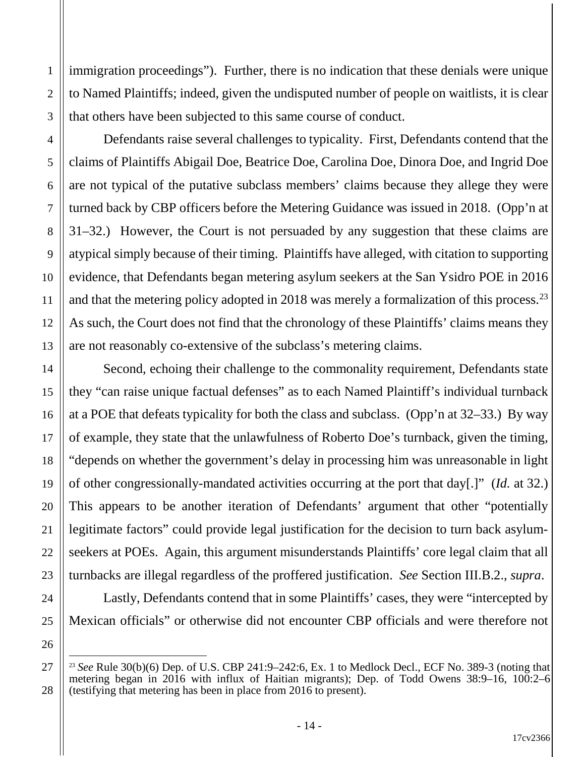immigration proceedings"). Further, there is no indication that these denials were unique to Named Plaintiffs; indeed, given the undisputed number of people on waitlists, it is clear that others have been subjected to this same course of conduct.

Defendants raise several challenges to typicality. First, Defendants contend that the claims of Plaintiffs Abigail Doe, Beatrice Doe, Carolina Doe, Dinora Doe, and Ingrid Doe are not typical of the putative subclass members' claims because they allege they were turned back by CBP officers before the Metering Guidance was issued in 2018. (Opp'n at 31–32.) However, the Court is not persuaded by any suggestion that these claims are atypical simply because of their timing. Plaintiffs have alleged, with citation to supporting evidence, that Defendants began metering asylum seekers at the San Ysidro POE in 2016 and that the metering policy adopted in 2018 was merely a formalization of this process.<sup>23</sup> As such, the Court does not find that the chronology of these Plaintiffs' claims means they are not reasonably co-extensive of the subclass's metering claims.

Second, echoing their challenge to the commonality requirement, Defendants state they "can raise unique factual defenses" as to each Named Plaintiff's individual turnback at a POE that defeats typicality for both the class and subclass. (Opp'n at 32–33.) By way of example, they state that the unlawfulness of Roberto Doe's turnback, given the timing, "depends on whether the government's delay in processing him was unreasonable in light of other congressionally-mandated activities occurring at the port that day[.]" (*Id.* at 32.) This appears to be another iteration of Defendants' argument that other "potentially legitimate factors" could provide legal justification for the decision to turn back asylumseekers at POEs. Again, this argument misunderstands Plaintiffs' core legal claim that all turnbacks are illegal regardless of the proffered justification. *See* Section III.B.2., *supra*.

Lastly, Defendants contend that in some Plaintiffs' cases, they were "intercepted by Mexican officials" or otherwise did not encounter CBP officials and were therefore not

1

 <sup>23</sup> *See* Rule 30(b)(6) Dep. of U.S. CBP 241:9–242:6, Ex. 1 to Medlock Decl., ECF No. 389-3 (noting that metering began in 2016 with influx of Haitian migrants); Dep. of Todd Owens 38:9–16, 100:2–6 (testifying that metering has been in place from 2016 to present).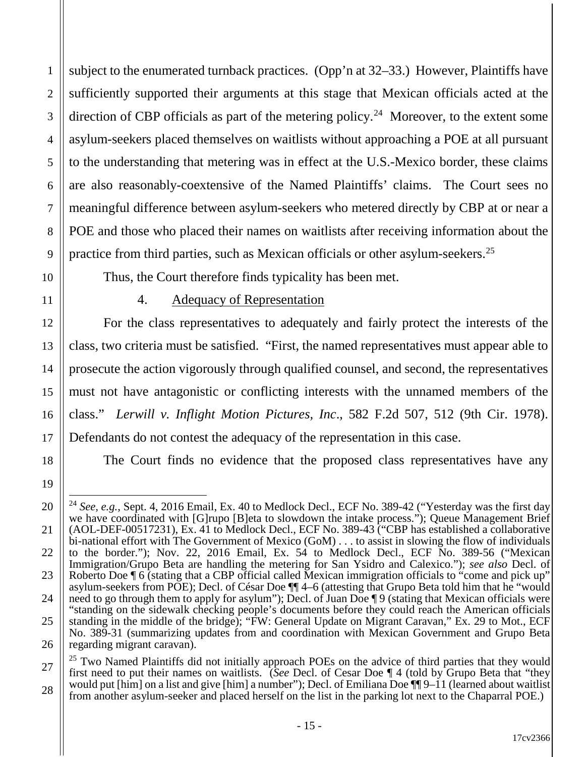subject to the enumerated turnback practices. (Opp'n at 32–33.) However, Plaintiffs have sufficiently supported their arguments at this stage that Mexican officials acted at the direction of CBP officials as part of the metering policy.<sup>24</sup> Moreover, to the extent some asylum-seekers placed themselves on waitlists without approaching a POE at all pursuant to the understanding that metering was in effect at the U.S.-Mexico border, these claims are also reasonably-coextensive of the Named Plaintiffs' claims. The Court sees no meaningful difference between asylum-seekers who metered directly by CBP at or near a POE and those who placed their names on waitlists after receiving information about the practice from third parties, such as Mexican officials or other asylum-seekers.25

Thus, the Court therefore finds typicality has been met.

1

2

3

4

5

6

7

8

9

10

11

12

13

14

15

16

17

18

19

# 4. Adequacy of Representation

For the class representatives to adequately and fairly protect the interests of the class, two criteria must be satisfied. "First, the named representatives must appear able to prosecute the action vigorously through qualified counsel, and second, the representatives must not have antagonistic or conflicting interests with the unnamed members of the class." *Lerwill v. Inflight Motion Pictures, Inc*., 582 F.2d 507, 512 (9th Cir. 1978). Defendants do not contest the adequacy of the representation in this case.

The Court finds no evidence that the proposed class representatives have any

<sup>20</sup> 21 22 23 24 25 26 <sup>24</sup> See, e.g., Sept. 4, 2016 Email, Ex. 40 to Medlock Decl., ECF No. 389-42 ("Yesterday was the first day we have coordinated with [G]rupo [B]eta to slowdown the intake process."); Queue Management Brief (AOL-DEF-00517231), Ex. 41 to Medlock Decl., ECF No. 389-43 ("CBP has established a collaborative bi-national effort with The Government of Mexico (GoM) . . . to assist in slowing the flow of individuals to the border."); Nov. 22, 2016 Email, Ex. 54 to Medlock Decl., ECF No. 389-56 ("Mexican Immigration/Grupo Beta are handling the metering for San Ysidro and Calexico."); *see also* Decl. of Roberto Doe ¶ 6 (stating that a CBP official called Mexican immigration officials to "come and pick up" asylum-seekers from POE); Decl. of César Doe ¶¶ 4–6 (attesting that Grupo Beta told him that he "would need to go through them to apply for asylum"); Decl. of Juan Doe ¶ 9 (stating that Mexican officials were "standing on the sidewalk checking people's documents before they could reach the American officials standing in the middle of the bridge); "FW: General Update on Migrant Caravan," Ex. 29 to Mot., ECF No. 389-31 (summarizing updates from and coordination with Mexican Government and Grupo Beta regarding migrant caravan).

<sup>27</sup> 28 <sup>25</sup> Two Named Plaintiffs did not initially approach POEs on the advice of third parties that they would first need to put their names on waitlists. (*See* Decl. of Cesar Doe ¶ 4 (told by Grupo Beta that "they would put [him] on a list and give [him] a number"); Decl. of Emiliana Doe  $\P\P 9-11$  (learned about waitlist from another asylum-seeker and placed herself on the list in the parking lot next to the Chaparral POE.)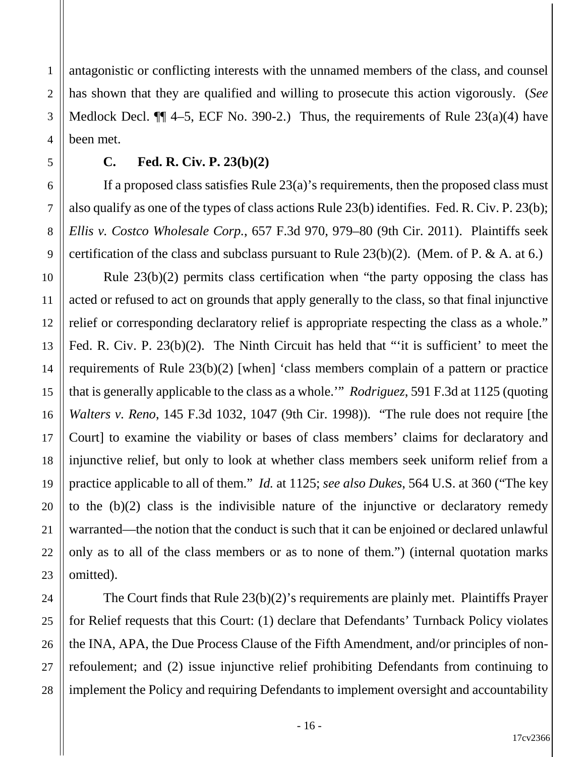antagonistic or conflicting interests with the unnamed members of the class, and counsel has shown that they are qualified and willing to prosecute this action vigorously. (*See* Medlock Decl.  $\P$  4–5, ECF No. 390-2.) Thus, the requirements of Rule 23(a)(4) have been met.

### **C. Fed. R. Civ. P. 23(b)(2)**

1

2

3

4

5

6

7

8

9

10

11

12

13

14

15

16

17

18

19

20

21

22

23

24

25

26

27

28

If a proposed class satisfies Rule  $23(a)$ 's requirements, then the proposed class must also qualify as one of the types of class actions Rule 23(b) identifies. Fed. R. Civ. P. 23(b); *Ellis v. Costco Wholesale Corp.*, 657 F.3d 970, 979–80 (9th Cir. 2011). Plaintiffs seek certification of the class and subclass pursuant to Rule  $23(b)(2)$ . (Mem. of P. & A. at 6.)

Rule 23(b)(2) permits class certification when "the party opposing the class has acted or refused to act on grounds that apply generally to the class, so that final injunctive relief or corresponding declaratory relief is appropriate respecting the class as a whole." Fed. R. Civ. P. 23(b)(2). The Ninth Circuit has held that "'it is sufficient' to meet the requirements of Rule 23(b)(2) [when] 'class members complain of a pattern or practice that is generally applicable to the class as a whole.'" *Rodriguez*, 591 F.3d at 1125 (quoting *Walters v. Reno*, 145 F.3d 1032, 1047 (9th Cir. 1998)). "The rule does not require [the Court] to examine the viability or bases of class members' claims for declaratory and injunctive relief, but only to look at whether class members seek uniform relief from a practice applicable to all of them." *Id.* at 1125; *see also Dukes*, 564 U.S. at 360 ("The key to the (b)(2) class is the indivisible nature of the injunctive or declaratory remedy warranted—the notion that the conduct is such that it can be enjoined or declared unlawful only as to all of the class members or as to none of them.") (internal quotation marks omitted).

The Court finds that Rule 23(b)(2)'s requirements are plainly met. Plaintiffs Prayer for Relief requests that this Court: (1) declare that Defendants' Turnback Policy violates the INA, APA, the Due Process Clause of the Fifth Amendment, and/or principles of nonrefoulement; and (2) issue injunctive relief prohibiting Defendants from continuing to implement the Policy and requiring Defendants to implement oversight and accountability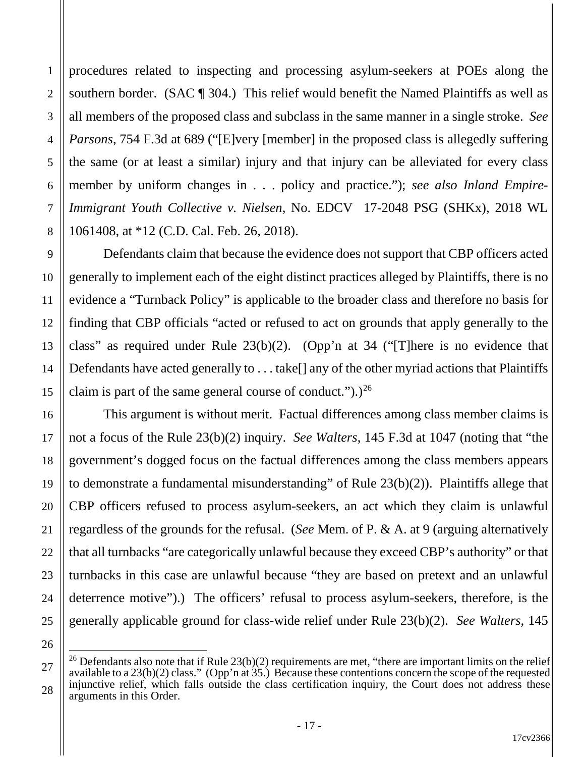procedures related to inspecting and processing asylum-seekers at POEs along the southern border. (SAC ¶ 304.) This relief would benefit the Named Plaintiffs as well as all members of the proposed class and subclass in the same manner in a single stroke. *See Parsons*, 754 F.3d at 689 ("[E]very [member] in the proposed class is allegedly suffering the same (or at least a similar) injury and that injury can be alleviated for every class member by uniform changes in . . . policy and practice."); *see also Inland Empire-Immigrant Youth Collective v. Nielsen*, No. EDCV 17-2048 PSG (SHKx), 2018 WL 1061408, at \*12 (C.D. Cal. Feb. 26, 2018).

1

2

3

4

5

6

7

8

9

10

11

12

13

14

15

16

17

18

19

20

21

22

23

24

25

26

27

28

Defendants claim that because the evidence does not support that CBP officers acted generally to implement each of the eight distinct practices alleged by Plaintiffs, there is no evidence a "Turnback Policy" is applicable to the broader class and therefore no basis for finding that CBP officials "acted or refused to act on grounds that apply generally to the class" as required under Rule  $23(b)(2)$ . (Opp'n at 34 ("There is no evidence that Defendants have acted generally to . . . take[] any of the other myriad actions that Plaintiffs claim is part of the same general course of conduct." $)$ .)<sup>26</sup>

This argument is without merit. Factual differences among class member claims is not a focus of the Rule 23(b)(2) inquiry. *See Walters*, 145 F.3d at 1047 (noting that "the government's dogged focus on the factual differences among the class members appears to demonstrate a fundamental misunderstanding" of Rule 23(b)(2)). Plaintiffs allege that CBP officers refused to process asylum-seekers, an act which they claim is unlawful regardless of the grounds for the refusal. (*See* Mem. of P. & A. at 9 (arguing alternatively that all turnbacks "are categorically unlawful because they exceed CBP's authority" or that turnbacks in this case are unlawful because "they are based on pretext and an unlawful deterrence motive").) The officers' refusal to process asylum-seekers, therefore, is the generally applicable ground for class-wide relief under Rule 23(b)(2). *See Walters*, 145

<sup>&</sup>lt;sup>26</sup> Defendants also note that if Rule  $23(b)(2)$  requirements are met, "there are important limits on the relief available to a 23(b)(2) class." (Opp'n at 35.) Because these contentions concern the scope of the requested injunctive relief, which falls outside the class certification inquiry, the Court does not address these arguments in this Order.